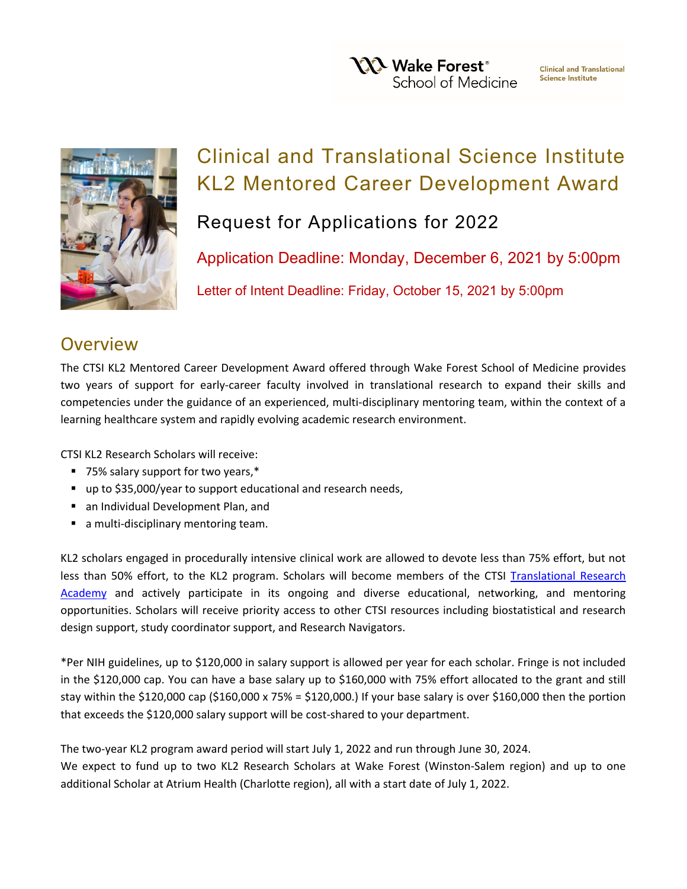**YXX** Wake Forest<sup>®</sup> School of Medicine



# Clinical and Translational Science Institute KL2 Mentored Career Development Award

Request for Applications for 2022

Application Deadline: Monday, December 6, 2021 by 5:00pm Letter of Intent Deadline: Friday, October 15, 2021 by 5:00pm

### **Overview**

The CTSI KL2 Mentored Career Development Award offered through Wake Forest School of Medicine provides two years of support for early-career faculty involved in translational research to expand their skills and competencies under the guidance of an experienced, multi-disciplinary mentoring team, within the context of a learning healthcare system and rapidly evolving academic research environment.

CTSI KL2 Research Scholars will receive:

- 75% salary support for two years,\*
- up to \$35,000/year to support educational and research needs,
- an Individual Development Plan, and
- a multi-disciplinary mentoring team.

KL2 scholars engaged in procedurally intensive clinical work are allowed to devote less than 75% effort, but not less than 50% effort, to the KL2 program. Scholars will become members of the CTSI [Translational Research](https://ctsi.wakehealth.edu/Education-and-Training/Faculty/Translational-Research-Academy)  [Academy](https://ctsi.wakehealth.edu/Education-and-Training/Faculty/Translational-Research-Academy) and actively participate in its ongoing and diverse educational, networking, and mentoring opportunities. Scholars will receive priority access to other CTSI resources including biostatistical and research design support, study coordinator support, and Research Navigators.

\*Per NIH guidelines, up to \$120,000 in salary support is allowed per year for each scholar. Fringe is not included in the \$120,000 cap. You can have a base salary up to \$160,000 with 75% effort allocated to the grant and still stay within the \$120,000 cap (\$160,000 x 75% = \$120,000.) If your base salary is over \$160,000 then the portion that exceeds the \$120,000 salary support will be cost-shared to your department.

The two-year KL2 program award period will start July 1, 2022 and run through June 30, 2024.

We expect to fund up to two KL2 Research Scholars at Wake Forest (Winston-Salem region) and up to one additional Scholar at Atrium Health (Charlotte region), all with a start date of July 1, 2022.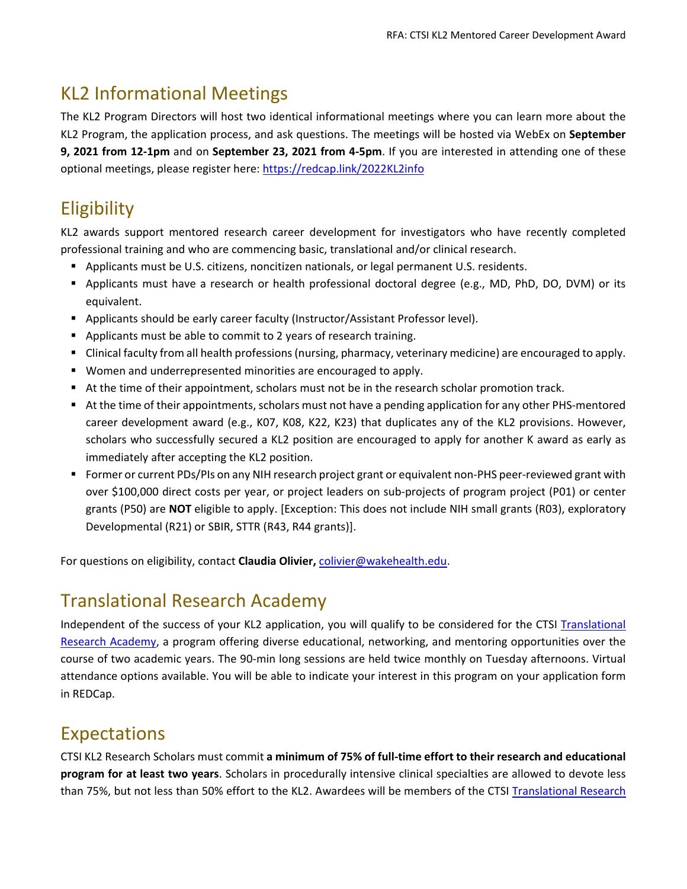# KL2 Informational Meetings

The KL2 Program Directors will host two identical informational meetings where you can learn more about the KL2 Program, the application process, and ask questions. The meetings will be hosted via WebEx on **September 9, 2021 from 12-1pm** and on **September 23, 2021 from 4-5pm**. If you are interested in attending one of these optional meetings, please register here: <https://redcap.link/2022KL2info>

# **Eligibility**

KL2 awards support mentored research career development for investigators who have recently completed professional training and who are commencing basic, translational and/or clinical research.

- Applicants must be U.S. citizens, noncitizen nationals, or legal permanent U.S. residents.
- Applicants must have a research or health professional doctoral degree (e.g., MD, PhD, DO, DVM) or its equivalent.
- **Applicants should be early career faculty (Instructor/Assistant Professor level).**
- Applicants must be able to commit to 2 years of research training.
- Clinical faculty from all health professions (nursing, pharmacy, veterinary medicine) are encouraged to apply.
- Women and underrepresented minorities are encouraged to apply.
- At the time of their appointment, scholars must not be in the research scholar promotion track.
- At the time of their appointments, scholars must not have a pending application for any other PHS-mentored career development award (e.g., K07, K08, K22, K23) that duplicates any of the KL2 provisions. However, scholars who successfully secured a KL2 position are encouraged to apply for another K award as early as immediately after accepting the KL2 position.
- Former or current PDs/PIs on any NIH research project grant or equivalent non-PHS peer-reviewed grant with over \$100,000 direct costs per year, or project leaders on sub-projects of program project (P01) or center grants (P50) are **NOT** eligible to apply. [Exception: This does not include NIH small grants (R03), exploratory Developmental (R21) or SBIR, STTR (R43, R44 grants)].

For questions on eligibility, contact **Claudia Olivier,** [colivier@wakehealth.edu.](mailto:colivier@wakehealth.edu)

# Translational Research Academy

Independent of the success of your KL2 application, you will qualify to be considered for the CTSI [Translational](https://ctsi.wakehealth.edu/Education-and-Training/Faculty/Translational-Research-Academy)  [Research Academy,](https://ctsi.wakehealth.edu/Education-and-Training/Faculty/Translational-Research-Academy) a program offering diverse educational, networking, and mentoring opportunities over the course of two academic years. The 90-min long sessions are held twice monthly on Tuesday afternoons. Virtual attendance options available. You will be able to indicate your interest in this program on your application form in REDCap.

### Expectations

CTSI KL2 Research Scholars must commit **a minimum of 75% of full-time effort to their research and educational program for at least two years**. Scholars in procedurally intensive clinical specialties are allowed to devote less than 75%, but not less than 50% effort to the KL2. Awardees will be members of the CTSI Translational Research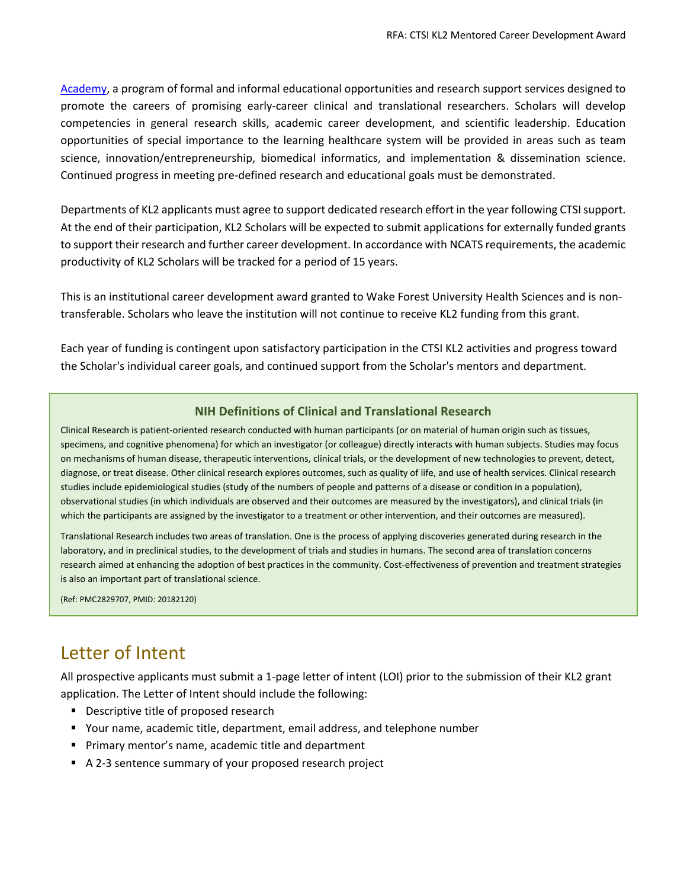[Academy,](https://ctsi.wakehealth.edu/Education-and-Training/Faculty/Translational-Research-Academy) a program of formal and informal educational opportunities and research support services designed to promote the careers of promising early-career clinical and translational researchers. Scholars will develop competencies in general research skills, academic career development, and scientific leadership. Education opportunities of special importance to the learning healthcare system will be provided in areas such as team science, innovation/entrepreneurship, biomedical informatics, and implementation & dissemination science. Continued progress in meeting pre-defined research and educational goals must be demonstrated.

Departments of KL2 applicants must agree to support dedicated research effort in the year following CTSI support. At the end of their participation, KL2 Scholars will be expected to submit applications for externally funded grants to support their research and further career development. In accordance with NCATS requirements, the academic productivity of KL2 Scholars will be tracked for a period of 15 years.

This is an institutional career development award granted to Wake Forest University Health Sciences and is nontransferable. Scholars who leave the institution will not continue to receive KL2 funding from this grant.

Each year of funding is contingent upon satisfactory participation in the CTSI KL2 activities and progress toward the Scholar's individual career goals, and continued support from the Scholar's mentors and department.

#### **NIH Definitions of Clinical and Translational Research**

Clinical Research is patient-oriented research conducted with human participants (or on material of human origin such as tissues, specimens, and cognitive phenomena) for which an investigator (or colleague) directly interacts with human subjects. Studies may focus on mechanisms of human disease, therapeutic interventions, clinical trials, or the development of new technologies to prevent, detect, diagnose, or treat disease. Other clinical research explores outcomes, such as quality of life, and use of health services. Clinical research studies include epidemiological studies (study of the numbers of people and patterns of a disease or condition in a population), observational studies (in which individuals are observed and their outcomes are measured by the investigators), and clinical trials (in which the participants are assigned by the investigator to a treatment or other intervention, and their outcomes are measured).

Translational Research includes two areas of translation. One is the process of applying discoveries generated during research in the laboratory, and in preclinical studies, to the development of trials and studies in humans. The second area of translation concerns research aimed at enhancing the adoption of best practices in the community. Cost-effectiveness of prevention and treatment strategies is also an important part of translational science.

(Ref: PMC2829707, PMID: 20182120)

### Letter of Intent

All prospective applicants must submit a 1-page letter of intent (LOI) prior to the submission of their KL2 grant application. The Letter of Intent should include the following:

- Descriptive title of proposed research
- Your name, academic title, department, email address, and telephone number
- **Primary mentor's name, academic title and department**
- A 2-3 sentence summary of your proposed research project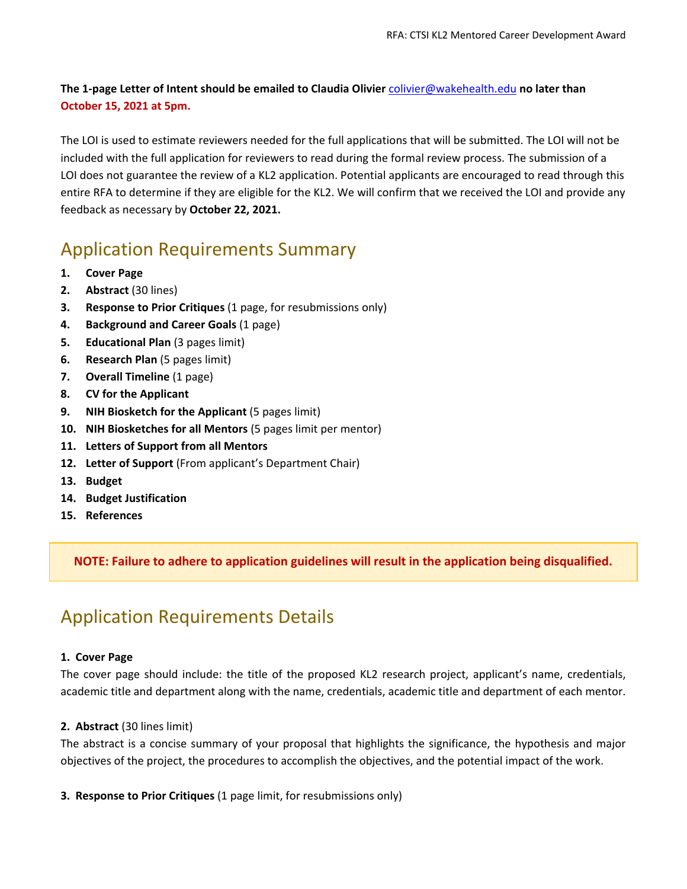**The 1-page Letter of Intent should be emailed to Claudia Olivier** [colivier@wakehealth.edu](mailto:colivier@wakehealth.edu) **no later than October 15, 2021 at 5pm.**

The LOI is used to estimate reviewers needed for the full applications that will be submitted. The LOI will not be included with the full application for reviewers to read during the formal review process. The submission of a LOI does not guarantee the review of a KL2 application. Potential applicants are encouraged to read through this entire RFA to determine if they are eligible for the KL2. We will confirm that we received the LOI and provide any feedback as necessary by **October 22, 2021.**

# Application Requirements Summary

- **1. Cover Page**
- **2. Abstract** (30 lines)
- **3. Response to Prior Critiques** (1 page, for resubmissions only)
- **4. Background and Career Goals** (1 page)
- **5. Educational Plan** (3 pages limit)
- **6. Research Plan** (5 pages limit)
- **7. Overall Timeline** (1 page)
- **8. CV for the Applicant**
- **9. NIH Biosketch for the Applicant** (5 pages limit)
- **10. NIH Biosketches for all Mentors** (5 pages limit per mentor)
- **11. Letters of Support from all Mentors**
- **12. Letter of Support** (From applicant's Department Chair)
- **13. Budget**
- **14. Budget Justification**
- **15. References**

**NOTE: Failure to adhere to application guidelines will result in the application being disqualified.**

### Application Requirements Details

#### **1. Cover Page**

The cover page should include: the title of the proposed KL2 research project, applicant's name, credentials, academic title and department along with the name, credentials, academic title and department of each mentor.

#### **2. Abstract** (30 lines limit)

The abstract is a concise summary of your proposal that highlights the significance, the hypothesis and major objectives of the project, the procedures to accomplish the objectives, and the potential impact of the work.

**3. Response to Prior Critiques** (1 page limit, for resubmissions only)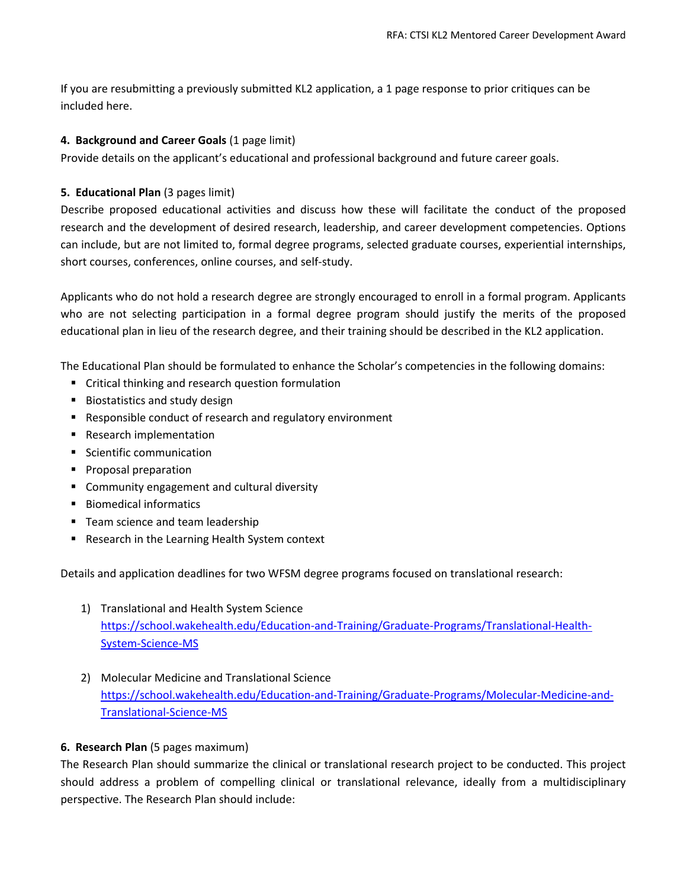If you are resubmitting a previously submitted KL2 application, a 1 page response to prior critiques can be included here.

#### **4. Background and Career Goals** (1 page limit)

Provide details on the applicant's educational and professional background and future career goals.

#### **5. Educational Plan** (3 pages limit)

Describe proposed educational activities and discuss how these will facilitate the conduct of the proposed research and the development of desired research, leadership, and career development competencies. Options can include, but are not limited to, formal degree programs, selected graduate courses, experiential internships, short courses, conferences, online courses, and self-study.

Applicants who do not hold a research degree are strongly encouraged to enroll in a formal program. Applicants who are not selecting participation in a formal degree program should justify the merits of the proposed educational plan in lieu of the research degree, and their training should be described in the KL2 application.

The Educational Plan should be formulated to enhance the Scholar's competencies in the following domains:

- **F** Critical thinking and research question formulation
- **Biostatistics and study design**
- Responsible conduct of research and regulatory environment
- Research implementation
- Scientific communication
- **Proposal preparation**
- **E** Community engagement and cultural diversity
- Biomedical informatics
- **Team science and team leadership**
- Research in the Learning Health System context

Details and application deadlines for two WFSM degree programs focused on translational research:

- 1) Translational and Health System Science [https://school.wakehealth.edu/Education-and-Training/Graduate-Programs/Translational-Health-](https://school.wakehealth.edu/Education-and-Training/Graduate-Programs/Translational-Health-System-Science-MS)[System-Science-MS](https://school.wakehealth.edu/Education-and-Training/Graduate-Programs/Translational-Health-System-Science-MS)
- 2) Molecular Medicine and Translational Science [https://school.wakehealth.edu/Education-and-Training/Graduate-Programs/Molecular-Medicine-and-](https://school.wakehealth.edu/Education-and-Training/Graduate-Programs/Molecular-Medicine-and-Translational-Science-MS)[Translational-Science-MS](https://school.wakehealth.edu/Education-and-Training/Graduate-Programs/Molecular-Medicine-and-Translational-Science-MS)

#### **6. Research Plan** (5 pages maximum)

The Research Plan should summarize the clinical or translational research project to be conducted. This project should address a problem of compelling clinical or translational relevance, ideally from a multidisciplinary perspective. The Research Plan should include: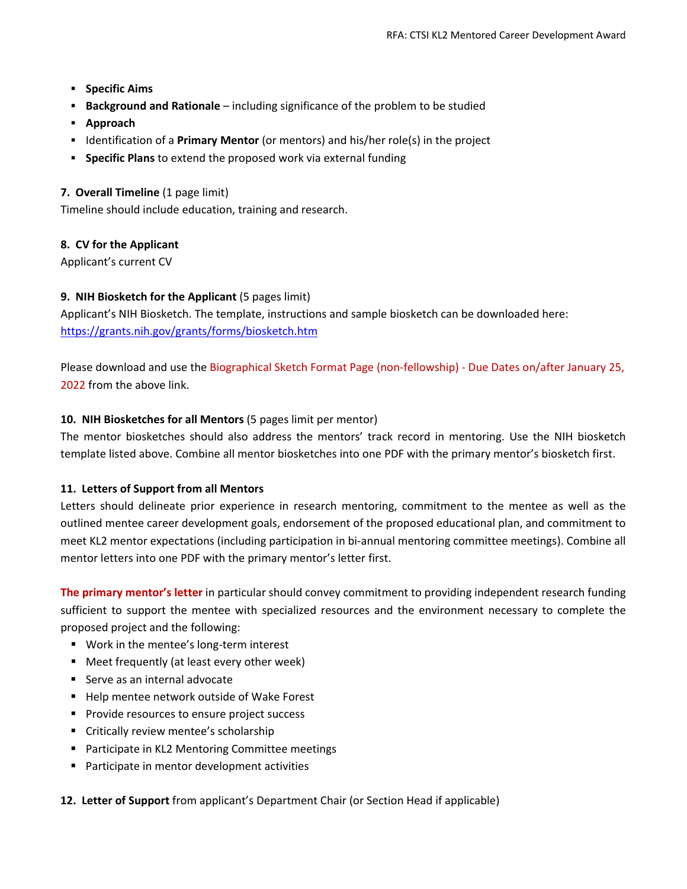- **Specific Aims**
- **Background and Rationale** including significance of the problem to be studied
- **Approach**
- **IDENTIFY 1** Identification of a **Primary Mentor** (or mentors) and his/her role(s) in the project
- **Specific Plans** to extend the proposed work via external funding

#### **7. Overall Timeline** (1 page limit)

Timeline should include education, training and research.

#### **8. CV for the Applicant**

Applicant's current CV

#### **9. NIH Biosketch for the Applicant** (5 pages limit)

Applicant's NIH Biosketch. The template, instructions and sample biosketch can be downloaded here: <https://grants.nih.gov/grants/forms/biosketch.htm>

Please download and use the Biographical Sketch Format Page (non-fellowship) - Due Dates on/after January 25, 2022 from the above link.

#### **10. NIH Biosketches for all Mentors** (5 pages limit per mentor)

The mentor biosketches should also address the mentors' track record in mentoring. Use the NIH biosketch template listed above. Combine all mentor biosketches into one PDF with the primary mentor's biosketch first.

#### **11. Letters of Support from all Mentors**

Letters should delineate prior experience in research mentoring, commitment to the mentee as well as the outlined mentee career development goals, endorsement of the proposed educational plan, and commitment to meet KL2 mentor expectations (including participation in bi-annual mentoring committee meetings). Combine all mentor letters into one PDF with the primary mentor's letter first.

**The primary mentor's letter** in particular should convey commitment to providing independent research funding sufficient to support the mentee with specialized resources and the environment necessary to complete the proposed project and the following:

- **Work in the mentee's long-term interest**
- Meet frequently (at least every other week)
- Serve as an internal advocate
- Help mentee network outside of Wake Forest
- **Provide resources to ensure project success**
- Critically review mentee's scholarship
- Participate in KL2 Mentoring Committee meetings
- **Participate in mentor development activities**

**12. Letter of Support** from applicant's Department Chair (or Section Head if applicable)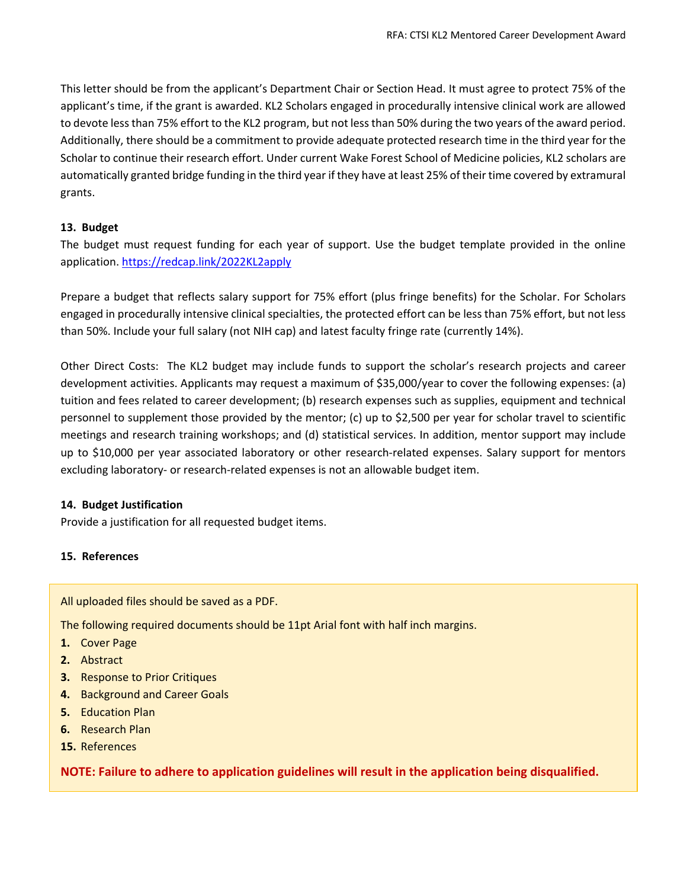This letter should be from the applicant's Department Chair or Section Head. It must agree to protect 75% of the applicant's time, if the grant is awarded. KL2 Scholars engaged in procedurally intensive clinical work are allowed to devote less than 75% effort to the KL2 program, but not less than 50% during the two years of the award period. Additionally, there should be a commitment to provide adequate protected research time in the third year for the Scholar to continue their research effort. Under current Wake Forest School of Medicine policies, KL2 scholars are automatically granted bridge funding in the third year if they have at least 25% of their time covered by extramural grants.

#### **13. Budget**

The budget must request funding for each year of support. Use the budget template provided in the online application.<https://redcap.link/2022KL2apply>

Prepare a budget that reflects salary support for 75% effort (plus fringe benefits) for the Scholar. For Scholars engaged in procedurally intensive clinical specialties, the protected effort can be less than 75% effort, but not less than 50%. Include your full salary (not NIH cap) and latest faculty fringe rate (currently 14%).

Other Direct Costs: The KL2 budget may include funds to support the scholar's research projects and career development activities. Applicants may request a maximum of \$35,000/year to cover the following expenses: (a) tuition and fees related to career development; (b) research expenses such as supplies, equipment and technical personnel to supplement those provided by the mentor; (c) up to \$2,500 per year for scholar travel to scientific meetings and research training workshops; and (d) statistical services. In addition, mentor support may include up to \$10,000 per year associated laboratory or other research-related expenses. Salary support for mentors excluding laboratory- or research-related expenses is not an allowable budget item.

#### **14. Budget Justification**

Provide a justification for all requested budget items.

#### **15. References**

All uploaded files should be saved as a PDF.

The following required documents should be 11pt Arial font with half inch margins.

- **1.** Cover Page
- **2.** Abstract
- **3.** Response to Prior Critiques
- **4.** Background and Career Goals
- **5.** Education Plan
- **6.** Research Plan
- **15.** References

**NOTE: Failure to adhere to application guidelines will result in the application being disqualified.**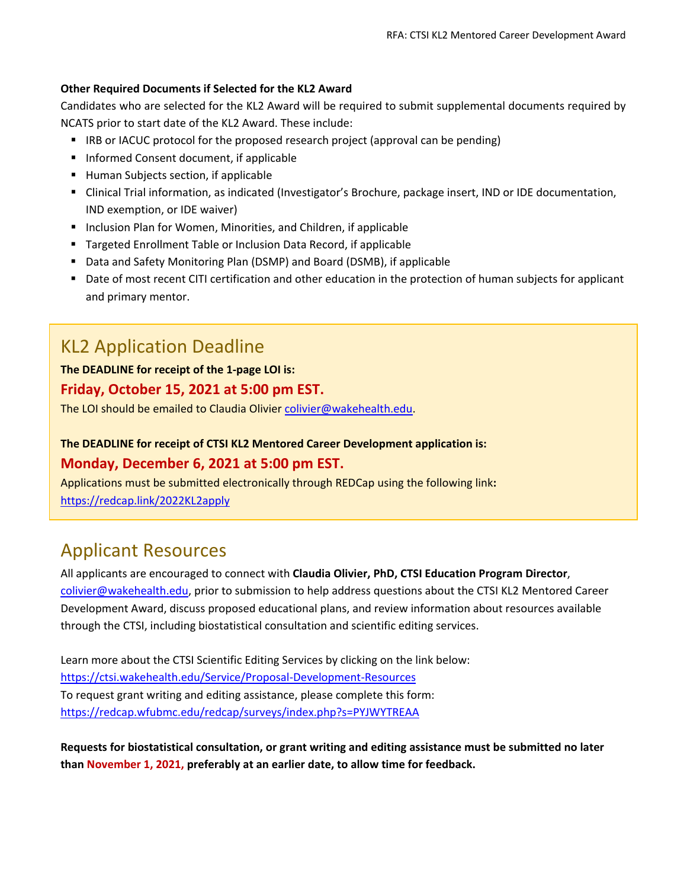#### **Other Required Documents if Selected for the KL2 Award**

Candidates who are selected for the KL2 Award will be required to submit supplemental documents required by NCATS prior to start date of the KL2 Award. These include:

- **IRB or IACUC protocol for the proposed research project (approval can be pending)**
- Informed Consent document, if applicable
- Human Subjects section, if applicable
- Clinical Trial information, as indicated (Investigator's Brochure, package insert, IND or IDE documentation, IND exemption, or IDE waiver)
- **Inclusion Plan for Women, Minorities, and Children, if applicable**
- **Targeted Enrollment Table or Inclusion Data Record, if applicable**
- Data and Safety Monitoring Plan (DSMP) and Board (DSMB), if applicable
- Date of most recent CITI certification and other education in the protection of human subjects for applicant and primary mentor.

### KL2 Application Deadline

#### **The DEADLINE for receipt of the 1-page LOI is: Friday, October 15, 2021 at 5:00 pm EST.**

The LOI should be emailed to Claudia Olivier [colivier@wakehealth.edu.](mailto:colivier@wakehealth.edu)

### **The DEADLINE for receipt of CTSI KL2 Mentored Career Development application is: Monday, December 6, 2021 at 5:00 pm EST.**

Applications must be submitted electronically through REDCap using the following link**:** <https://redcap.link/2022KL2apply>

### Applicant Resources

All applicants are encouraged to connect with **Claudia Olivier, PhD, CTSI Education Program Director**, [colivier@wakehealth.edu,](mailto:colivier@wakehealth.edu) prior to submission to help address questions about the CTSI KL2 Mentored Career Development Award, discuss proposed educational plans, and review information about resources available through the CTSI, including biostatistical consultation and scientific editing services.

Learn more about the CTSI Scientific Editing Services by clicking on the link below: <https://ctsi.wakehealth.edu/Service/Proposal-Development-Resources> To request grant writing and editing assistance, please complete this form: <https://redcap.wfubmc.edu/redcap/surveys/index.php?s=PYJWYTREAA>

**Requests for biostatistical consultation, or grant writing and editing assistance must be submitted no later than November 1, 2021, preferably at an earlier date, to allow time for feedback.**